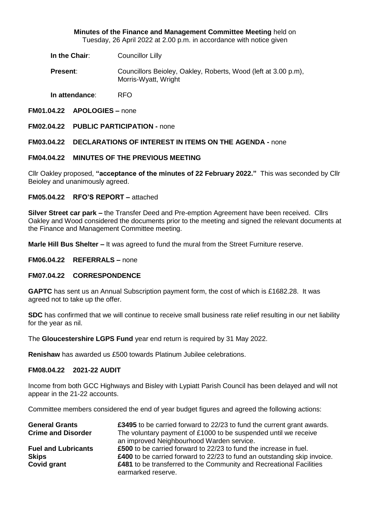**Minutes of the Finance and Management Committee Meeting** held on Tuesday, 26 April 2022 at 2.00 p.m. in accordance with notice given

**In the Chair:** Councillor Lilly

**Present:** Councillors Beioley, Oakley, Roberts, Wood (left at 3.00 p.m), Morris-Wyatt, Wright

**In attendance**: RFO

- **FM01.04.22 APOLOGIES –** none
- **FM02.04.22 PUBLIC PARTICIPATION -** none

# **FM03.04.22 DECLARATIONS OF INTEREST IN ITEMS ON THE AGENDA -** none

## **FM04.04.22 MINUTES OF THE PREVIOUS MEETING**

Cllr Oakley proposed, **"acceptance of the minutes of 22 February 2022."** This was seconded by Cllr Beioley and unanimously agreed.

## **FM05.04.22 RFO'S REPORT –** attached

**Silver Street car park –** the Transfer Deed and Pre-emption Agreement have been received. Cllrs Oakley and Wood considered the documents prior to the meeting and signed the relevant documents at the Finance and Management Committee meeting.

**Marle Hill Bus Shelter –** It was agreed to fund the mural from the Street Furniture reserve.

### **FM06.04.22 REFERRALS –** none

# **FM07.04.22 CORRESPONDENCE**

**GAPTC** has sent us an Annual Subscription payment form, the cost of which is £1682.28. It was agreed not to take up the offer.

**SDC** has confirmed that we will continue to receive small business rate relief resulting in our net liability for the year as nil.

The **Gloucestershire LGPS Fund** year end return is required by 31 May 2022.

**Renishaw** has awarded us £500 towards Platinum Jubilee celebrations.

### **FM08.04.22 2021-22 AUDIT**

Income from both GCC Highways and Bisley with Lypiatt Parish Council has been delayed and will not appear in the 21-22 accounts.

Committee members considered the end of year budget figures and agreed the following actions:

| <b>General Grants</b>      | <b>£3495</b> to be carried forward to 22/23 to fund the current grant awards. |
|----------------------------|-------------------------------------------------------------------------------|
| <b>Crime and Disorder</b>  | The voluntary payment of £1000 to be suspended until we receive               |
|                            | an improved Neighbourhood Warden service.                                     |
| <b>Fuel and Lubricants</b> | £500 to be carried forward to 22/23 to fund the increase in fuel.             |
| <b>Skips</b>               | £400 to be carried forward to 22/23 to fund an outstanding skip invoice.      |
| Covid grant                | £481 to be transferred to the Community and Recreational Facilities           |
|                            | earmarked reserve.                                                            |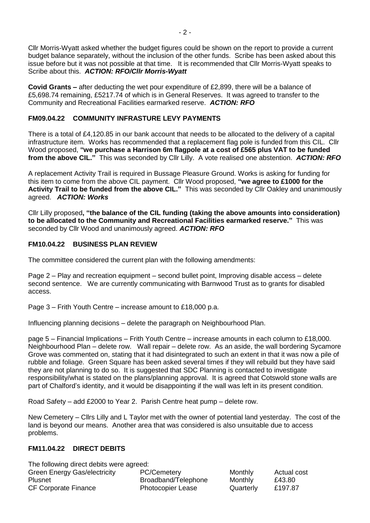Cllr Morris-Wyatt asked whether the budget figures could be shown on the report to provide a current budget balance separately, without the inclusion of the other funds. Scribe has been asked about this issue before but it was not possible at that time. It is recommended that Cllr Morris-Wyatt speaks to Scribe about this. *ACTION: RFO/Cllr Morris-Wyatt*

**Covid Grants –** after deducting the wet pour expenditure of £2,899, there will be a balance of £5,698.74 remaining, £5217.74 of which is in General Reserves. It was agreed to transfer to the Community and Recreational Facilities earmarked reserve. *ACTION: RFO*

# **FM09.04.22 COMMUNITY INFRASTURE LEVY PAYMENTS**

There is a total of £4,120.85 in our bank account that needs to be allocated to the delivery of a capital infrastructure item. Works has recommended that a replacement flag pole is funded from this CIL. Cllr Wood proposed, **"we purchase a Harrison 6m flagpole at a cost of £565 plus VAT to be funded from the above CIL."** This was seconded by Cllr Lilly. A vote realised one abstention. *ACTION: RFO*

A replacement Activity Trail is required in Bussage Pleasure Ground. Works is asking for funding for this item to come from the above CIL payment. Cllr Wood proposed, **"we agree to £1000 for the Activity Trail to be funded from the above CIL."** This was seconded by Cllr Oakley and unanimously agreed. *ACTION: Works*

Cllr Lilly proposed**, "the balance of the CIL funding (taking the above amounts into consideration) to be allocated to the Community and Recreational Facilities earmarked reserve."** This was seconded by Cllr Wood and unanimously agreed. *ACTION: RFO*

# **FM10.04.22 BUSINESS PLAN REVIEW**

The committee considered the current plan with the following amendments:

Page 2 – Play and recreation equipment – second bullet point, Improving disable access – delete second sentence. We are currently communicating with Barnwood Trust as to grants for disabled access.

Page 3 – Frith Youth Centre – increase amount to £18,000 p.a.

Influencing planning decisions – delete the paragraph on Neighbourhood Plan.

page 5 – Financial Implications – Frith Youth Centre – increase amounts in each column to £18,000. Neighbourhood Plan – delete row. Wall repair – delete row. As an aside, the wall bordering Sycamore Grove was commented on, stating that it had disintegrated to such an extent in that it was now a pile of rubble and foliage. Green Square has been asked several times if they will rebuild but they have said they are not planning to do so. It is suggested that SDC Planning is contacted to investigate responsibility/what is stated on the plans/planning approval. It is agreed that Cotswold stone walls are part of Chalford's identity, and it would be disappointing if the wall was left in its present condition.

Road Safety – add £2000 to Year 2. Parish Centre heat pump – delete row.

New Cemetery – Cllrs Lilly and L Taylor met with the owner of potential land yesterday. The cost of the land is beyond our means. Another area that was considered is also unsuitable due to access problems.

# **FM11.04.22 DIRECT DEBITS**

The following direct debits were agreed: Green Energy Gas/electricity PC/Cemetery Monthly Actual cost Plusnet **Broadband/Telephone** Monthly £43.80 CF Corporate Finance Photocopier Lease Quarterly £197.87